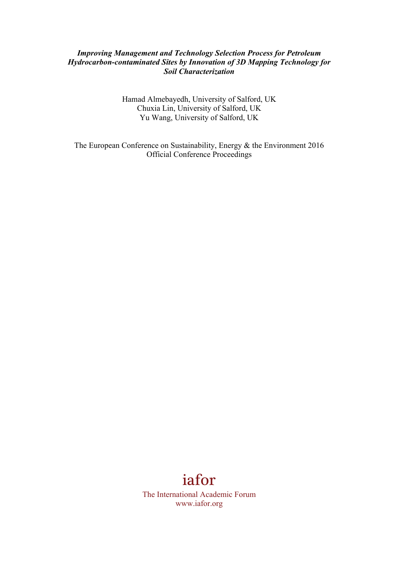#### *Improving Management and Technology Selection Process for Petroleum Hydrocarbon-contaminated Sites by Innovation of 3D Mapping Technology for Soil Characterization*

Hamad Almebayedh, University of Salford, UK Chuxia Lin, University of Salford, UK Yu Wang, University of Salford, UK

The European Conference on Sustainability, Energy & the Environment 2016 Official Conference Proceedings

# iafor

The International Academic Forum www.iafor.org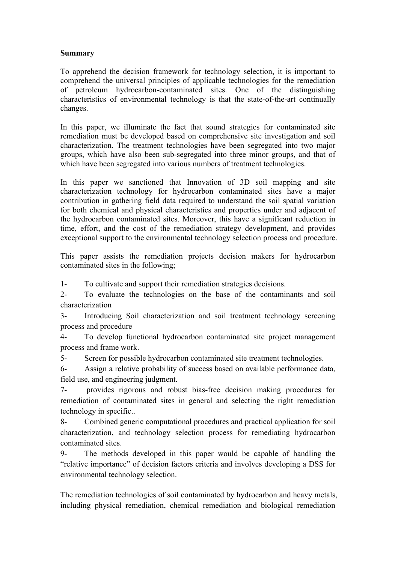#### **Summary**

To apprehend the decision framework for technology selection, it is important to comprehend the universal principles of applicable technologies for the remediation of petroleum hydrocarbon-contaminated sites. One of the distinguishing characteristics of environmental technology is that the state-of-the-art continually changes.

In this paper, we illuminate the fact that sound strategies for contaminated site remediation must be developed based on comprehensive site investigation and soil characterization. The treatment technologies have been segregated into two major groups, which have also been sub-segregated into three minor groups, and that of which have been segregated into various numbers of treatment technologies.

In this paper we sanctioned that Innovation of 3D soil mapping and site characterization technology for hydrocarbon contaminated sites have a major contribution in gathering field data required to understand the soil spatial variation for both chemical and physical characteristics and properties under and adjacent of the hydrocarbon contaminated sites. Moreover, this have a significant reduction in time, effort, and the cost of the remediation strategy development, and provides exceptional support to the environmental technology selection process and procedure.

This paper assists the remediation projects decision makers for hydrocarbon contaminated sites in the following;

1- To cultivate and support their remediation strategies decisions.

2- To evaluate the technologies on the base of the contaminants and soil characterization

3- Introducing Soil characterization and soil treatment technology screening process and procedure

4- To develop functional hydrocarbon contaminated site project management process and frame work.

5- Screen for possible hydrocarbon contaminated site treatment technologies.

6- Assign a relative probability of success based on available performance data, field use, and engineering judgment.

7- provides rigorous and robust bias-free decision making procedures for remediation of contaminated sites in general and selecting the right remediation technology in specific..

8- Combined generic computational procedures and practical application for soil characterization, and technology selection process for remediating hydrocarbon contaminated sites.

9- The methods developed in this paper would be capable of handling the "relative importance" of decision factors criteria and involves developing a DSS for environmental technology selection.

The remediation technologies of soil contaminated by hydrocarbon and heavy metals, including physical remediation, chemical remediation and biological remediation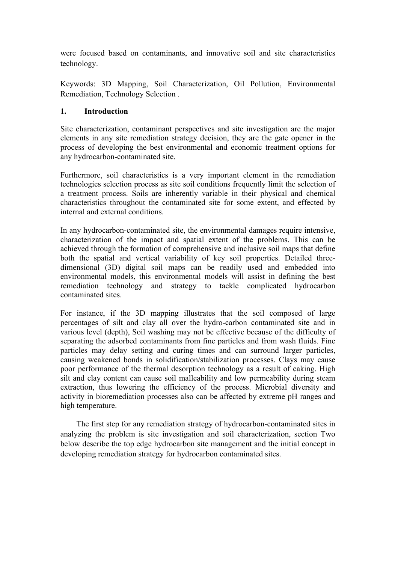were focused based on contaminants, and innovative soil and site characteristics technology.

Keywords: 3D Mapping, Soil Characterization, Oil Pollution, Environmental Remediation, Technology Selection .

# **1. Introduction**

Site characterization, contaminant perspectives and site investigation are the major elements in any site remediation strategy decision, they are the gate opener in the process of developing the best environmental and economic treatment options for any hydrocarbon-contaminated site.

Furthermore, soil characteristics is a very important element in the remediation technologies selection process as site soil conditions frequently limit the selection of a treatment process. Soils are inherently variable in their physical and chemical characteristics throughout the contaminated site for some extent, and effected by internal and external conditions.

In any hydrocarbon-contaminated site, the environmental damages require intensive, characterization of the impact and spatial extent of the problems. This can be achieved through the formation of comprehensive and inclusive soil maps that define both the spatial and vertical variability of key soil properties. Detailed threedimensional (3D) digital soil maps can be readily used and embedded into environmental models, this environmental models will assist in defining the best remediation technology and strategy to tackle complicated hydrocarbon contaminated sites.

For instance, if the 3D mapping illustrates that the soil composed of large percentages of silt and clay all over the hydro-carbon contaminated site and in various level (depth), Soil washing may not be effective because of the difficulty of separating the adsorbed contaminants from fine particles and from wash fluids. Fine particles may delay setting and curing times and can surround larger particles, causing weakened bonds in solidification/stabilization processes. Clays may cause poor performance of the thermal desorption technology as a result of caking. High silt and clay content can cause soil malleability and low permeability during steam extraction, thus lowering the efficiency of the process. Microbial diversity and activity in bioremediation processes also can be affected by extreme pH ranges and high temperature.

 The first step for any remediation strategy of hydrocarbon-contaminated sites in analyzing the problem is site investigation and soil characterization, section Two below describe the top edge hydrocarbon site management and the initial concept in developing remediation strategy for hydrocarbon contaminated sites.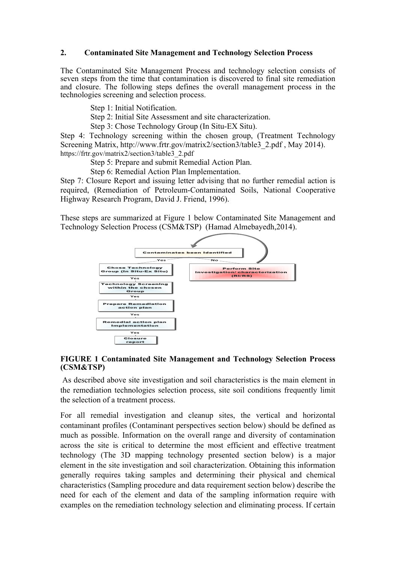### **2. Contaminated Site Management and Technology Selection Process**

The Contaminated Site Management Process and technology selection consists of seven steps from the time that contamination is discovered to final site remediation and closure. The following steps defines the overall management process in the technologies screening and selection process.

Step 1: Initial Notification.

Step 2: Initial Site Assessment and site characterization.

Step 3: Chose Technology Group (In Situ-EX Situ).

Step 4: Technology screening within the chosen group, (Treatment Technology Screening Matrix, http://www.frtr.gov/matrix2/section3/table3\_2.pdf , May 2014). https://frtr.gov/matrix2/section3/table3\_2.pdf

Step 5: Prepare and submit Remedial Action Plan.

Step 6: Remedial Action Plan Implementation.

Step 7: Closure Report and issuing letter advising that no further remedial action is required, (Remediation of Petroleum-Contaminated Soils, National Cooperative Highway Research Program, David J. Friend, 1996).

These steps are summarized at Figure 1 below Contaminated Site Management and Technology Selection Process (CSM&TSP) (Hamad Almebayedh,2014).



#### **FIGURE 1 Contaminated Site Management and Technology Selection Process (CSM&TSP)**

As described above site investigation and soil characteristics is the main element in the remediation technologies selection process, site soil conditions frequently limit the selection of a treatment process.

For all remedial investigation and cleanup sites, the vertical and horizontal contaminant profiles (Contaminant perspectives section below) should be defined as much as possible. Information on the overall range and diversity of contamination across the site is critical to determine the most efficient and effective treatment technology (The 3D mapping technology presented section below) is a major element in the site investigation and soil characterization. Obtaining this information generally requires taking samples and determining their physical and chemical characteristics (Sampling procedure and data requirement section below) describe the need for each of the element and data of the sampling information require with examples on the remediation technology selection and eliminating process. If certain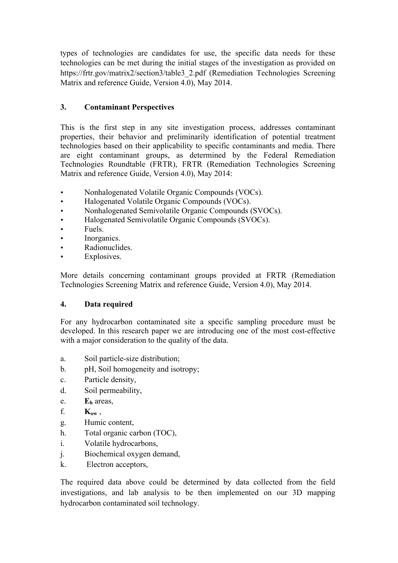types of technologies are candidates for use, the specific data needs for these technologies can be met during the initial stages of the investigation as provided on https://frtr.gov/matrix2/section3/table3\_2.pdf (Remediation Technologies Screening Matrix and reference Guide, Version 4.0), May 2014.

# **3. Contaminant Perspectives**

This is the first step in any site investigation process, addresses contaminant properties, their behavior and preliminarily identification of potential treatment technologies based on their applicability to specific contaminants and media. There are eight contaminant groups, as determined by the Federal Remediation Technologies Roundtable (FRTR), FRTR (Remediation Technologies Screening Matrix and reference Guide, Version 4.0), May 2014:

- Nonhalogenated Volatile Organic Compounds (VOCs).
- Halogenated Volatile Organic Compounds (VOCs).
- Nonhalogenated Semivolatile Organic Compounds (SVOCs).
- Halogenated Semivolatile Organic Compounds (SVOCs).
- Fuels.
- Inorganics.
- Radionuclides.
- Explosives.

More details concerning contaminant groups provided at FRTR (Remediation Technologies Screening Matrix and reference Guide, Version 4.0), May 2014.

# **4. Data required**

For any hydrocarbon contaminated site a specific sampling procedure must be developed. In this research paper we are introducing one of the most cost-effective with a major consideration to the quality of the data.

- a. Soil particle-size distribution;
- b. pH, Soil homogeneity and isotropy;
- c. Particle density,
- d. Soil permeability,
- e. **Eh** areas,
- f.  $K_{ow}$ ,
- g. Humic content,
- h. Total organic carbon (TOC),
- i. Volatile hydrocarbons,
- j. Biochemical oxygen demand,
- k. Electron acceptors,

The required data above could be determined by data collected from the field investigations, and lab analysis to be then implemented on our 3D mapping hydrocarbon contaminated soil technology.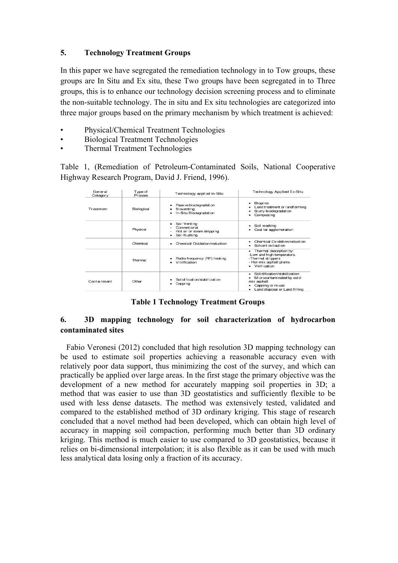# **5. Technology Treatment Groups**

In this paper we have segregated the remediation technology in to Tow groups, these groups are In Situ and Ex situ, these Two groups have been segregated in to Three groups, this is to enhance our technology decision screening process and to eliminate the non-suitable technology. The in situ and Ex situ technologies are categorized into three major groups based on the primary mechanism by which treatment is achieved:

- Physical/Chemical Treatment Technologies
- Biological Treatment Technologies
- Thermal Treatment Technologies

Table 1, (Remediation of Petroleum-Contaminated Soils, National Cooperative Highway Research Program, David J. Friend, 1996).

| General<br>Category | Type of<br>Pr ocess | Technology applied in-Situ                                                       | Technology Applied Ex-Situ                                                                                                      |
|---------------------|---------------------|----------------------------------------------------------------------------------|---------------------------------------------------------------------------------------------------------------------------------|
| Treatment           | Biological          | Passi ve bi odegradati on<br>Bioventing<br>In-Situ Biodegradation<br>٠           | Biopiles<br>Land treatment or landfarming<br>Slurry biodegradation<br>Composting                                                |
|                     | Physical            | Soil Venting<br>Conventional<br>Hot air or steam stripping<br>Soil flushing<br>٠ | Soil washing<br>Coal tar agglomeration                                                                                          |
|                     | Chemical            | Chemical Oxidation/reduction<br>٠                                                | Chemical Oxidation/reduction<br>Solvent extraction                                                                              |
|                     | Thermal             | Radio frequency (RF) heating<br>Vitrification                                    | • Thermal desorption by:<br>-Low and high temperature.<br>-Thermal strippers<br>- Hot-mix asphalt plants<br>• Virification      |
| Containment         | Other               | Solidification/stabilization<br>Capping<br>٠                                     | Solidification/stabilization<br>Microcantaminated by cold-<br>mix asphalt<br>Capping or re-use<br>Land disposal or Land filling |

**Table 1 Technology Treatment Groups**

# **6. 3D mapping technology for soil characterization of hydrocarbon contaminated sites**

 Fabio Veronesi (2012) concluded that high resolution 3D mapping technology can be used to estimate soil properties achieving a reasonable accuracy even with relatively poor data support, thus minimizing the cost of the survey, and which can practically be applied over large areas. In the first stage the primary objective was the development of a new method for accurately mapping soil properties in 3D; a method that was easier to use than 3D geostatistics and sufficiently flexible to be used with less dense datasets. The method was extensively tested, validated and compared to the established method of 3D ordinary kriging. This stage of research concluded that a novel method had been developed, which can obtain high level of accuracy in mapping soil compaction, performing much better than 3D ordinary kriging. This method is much easier to use compared to 3D geostatistics, because it relies on bi-dimensional interpolation; it is also flexible as it can be used with much less analytical data losing only a fraction of its accuracy.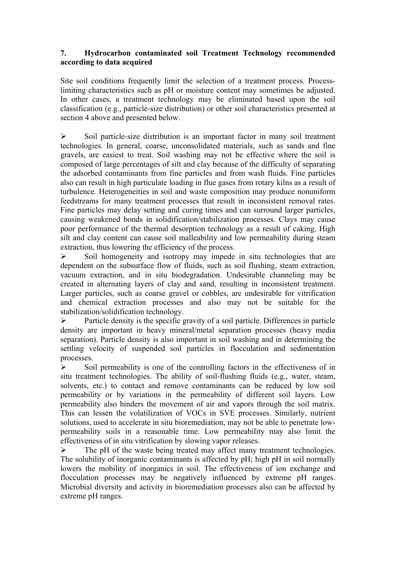## **7. Hydrocarbon contaminated soil Treatment Technology recommended according to data acquired**

Site soil conditions frequently limit the selection of a treatment process. Processlimiting characteristics such as pH or moisture content may sometimes be adjusted. In other cases, a treatment technology may be eliminated based upon the soil classification (e.g., particle-size distribution) or other soil characteristics presented at section 4 above and presented below.

 $\triangleright$  Soil particle-size distribution is an important factor in many soil treatment technologies. In general, coarse, unconsolidated materials, such as sands and fine gravels, are easiest to treat. Soil washing may not be effective where the soil is composed of large percentages of silt and clay because of the difficulty of separating the adsorbed contaminants from fine particles and from wash fluids. Fine particles also can result in high particulate loading in flue gases from rotary kilns as a result of turbulence. Heterogeneities in soil and waste composition may produce nonuniform feedstreams for many treatment processes that result in inconsistent removal rates. Fine particles may delay setting and curing times and can surround larger particles, causing weakened bonds in solidification/stabilization processes. Clays may cause poor performance of the thermal desorption technology as a result of caking. High silt and clay content can cause soil malleability and low permeability during steam extraction, thus lowering the efficiency of the process.

 $\triangleright$  Soil homogeneity and isotropy may impede in situ technologies that are dependent on the subsurface flow of fluids, such as soil flushing, steam extraction, vacuum extraction, and in situ biodegradation. Undesirable channeling may be created in alternating layers of clay and sand, resulting in inconsistent treatment. Larger particles, such as coarse gravel or cobbles, are undesirable for vitrification and chemical extraction processes and also may not be suitable for the stabilization/solidification technology.

 $\triangleright$  Particle density is the specific gravity of a soil particle. Differences in particle density are important in heavy mineral/metal separation processes (heavy media separation). Particle density is also important in soil washing and in determining the settling velocity of suspended soil particles in flocculation and sedimentation processes.

 $\triangleright$  Soil permeability is one of the controlling factors in the effectiveness of in situ treatment technologies. The ability of soil-flushing fluids (e.g., water, steam, solvents, etc.) to contact and remove contaminants can be reduced by low soil permeability or by variations in the permeability of different soil layers. Low permeability also hinders the movement of air and vapors through the soil matrix. This can lessen the volatilization of VOCs in SVE processes. Similarly, nutrient solutions, used to accelerate in situ bioremediation, may not be able to penetrate lowpermeability soils in a reasonable time. Low permeability may also limit the effectiveness of in situ vitrification by slowing vapor releases.

Ø The pH of the waste being treated may affect many treatment technologies. The solubility of inorganic contaminants is affected by pH; high pH in soil normally lowers the mobility of inorganics in soil. The effectiveness of ion exchange and flocculation processes may be negatively influenced by extreme pH ranges. Microbial diversity and activity in bioremediation processes also can be affected by extreme pH ranges.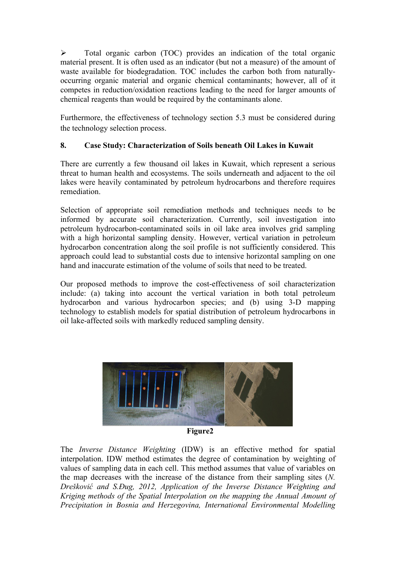$\triangleright$  Total organic carbon (TOC) provides an indication of the total organic material present. It is often used as an indicator (but not a measure) of the amount of waste available for biodegradation. TOC includes the carbon both from naturallyoccurring organic material and organic chemical contaminants; however, all of it competes in reduction/oxidation reactions leading to the need for larger amounts of chemical reagents than would be required by the contaminants alone.

Furthermore, the effectiveness of technology section 5.3 must be considered during the technology selection process.

# **8. Case Study: Characterization of Soils beneath Oil Lakes in Kuwait**

There are currently a few thousand oil lakes in Kuwait, which represent a serious threat to human health and ecosystems. The soils underneath and adjacent to the oil lakes were heavily contaminated by petroleum hydrocarbons and therefore requires remediation.

Selection of appropriate soil remediation methods and techniques needs to be informed by accurate soil characterization. Currently, soil investigation into petroleum hydrocarbon-contaminated soils in oil lake area involves grid sampling with a high horizontal sampling density. However, vertical variation in petroleum hydrocarbon concentration along the soil profile is not sufficiently considered. This approach could lead to substantial costs due to intensive horizontal sampling on one hand and inaccurate estimation of the volume of soils that need to be treated.

Our proposed methods to improve the cost-effectiveness of soil characterization include: (a) taking into account the vertical variation in both total petroleum hydrocarbon and various hydrocarbon species; and (b) using 3-D mapping technology to establish models for spatial distribution of petroleum hydrocarbons in oil lake-affected soils with markedly reduced sampling density.



 **Figure2**

The *Inverse Distance Weighting* (IDW) is an effective method for spatial interpolation. IDW method estimates the degree of contamination by weighting of values of sampling data in each cell. This method assumes that value of variables on the map decreases with the increase of the distance from their sampling sites (*N. Drešković and S.Đug, 2012, Application of the Inverse Distance Weighting and Kriging methods of the Spatial Interpolation on the mapping the Annual Amount of Precipitation in Bosnia and Herzegovina, International Environmental Modelling*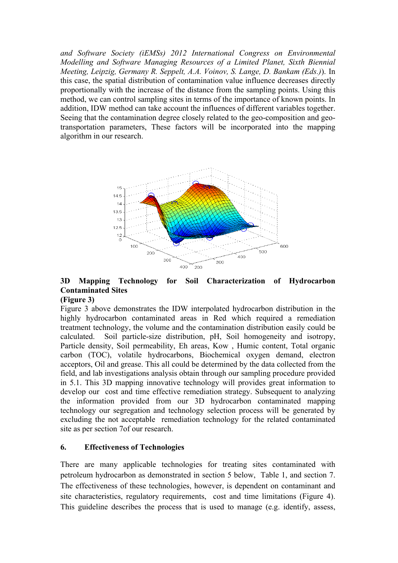*and Software Society (iEMSs) 2012 International Congress on Environmental Modelling and Software Managing Resources of a Limited Planet, Sixth Biennial Meeting, Leipzig, Germany R. Seppelt, A.A. Voinov, S. Lange, D. Bankam (Eds.)*). In this case, the spatial distribution of contamination value influence decreases directly proportionally with the increase of the distance from the sampling points. Using this method, we can control sampling sites in terms of the importance of known points. In addition, IDW method can take account the influences of different variables together. Seeing that the contamination degree closely related to the geo-composition and geotransportation parameters, These factors will be incorporated into the mapping algorithm in our research.



# **3D Mapping Technology for Soil Characterization of Hydrocarbon Contaminated Sites**

# **(Figure 3)**

Figure 3 above demonstrates the IDW interpolated hydrocarbon distribution in the highly hydrocarbon contaminated areas in Red which required a remediation treatment technology, the volume and the contamination distribution easily could be calculated. Soil particle-size distribution, pH, Soil homogeneity and isotropy, Particle density, Soil permeability, Eh areas, Kow , Humic content, Total organic carbon (TOC), volatile hydrocarbons, Biochemical oxygen demand, electron acceptors, Oil and grease. This all could be determined by the data collected from the field, and lab investigations analysis obtain through our sampling procedure provided in 5.1. This 3D mapping innovative technology will provides great information to develop our cost and time effective remediation strategy. Subsequent to analyzing the information provided from our 3D hydrocarbon contaminated mapping technology our segregation and technology selection process will be generated by excluding the not acceptable remediation technology for the related contaminated site as per section 7of our research.

#### **6. Effectiveness of Technologies**

There are many applicable technologies for treating sites contaminated with petroleum hydrocarbon as demonstrated in section 5 below, Table 1, and section 7. The effectiveness of these technologies, however, is dependent on contaminant and site characteristics, regulatory requirements, cost and time limitations (Figure 4). This guideline describes the process that is used to manage (e.g. identify, assess,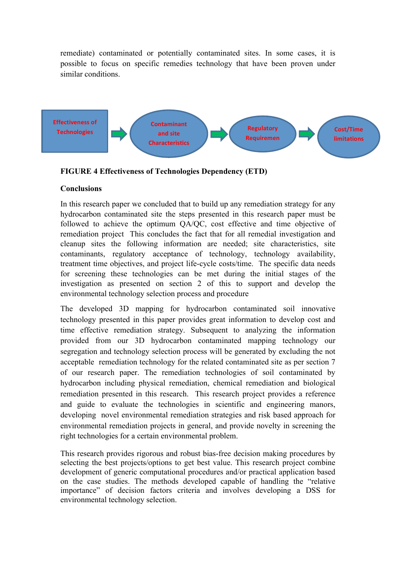remediate) contaminated or potentially contaminated sites. In some cases, it is possible to focus on specific remedies technology that have been proven under similar conditions.



**FIGURE 4 Effectiveness of Technologies Dependency (ETD)** 

#### **Conclusions**

In this research paper we concluded that to build up any remediation strategy for any hydrocarbon contaminated site the steps presented in this research paper must be followed to achieve the optimum QA/QC, cost effective and time objective of remediation project This concludes the fact that for all remedial investigation and cleanup sites the following information are needed; site characteristics, site contaminants, regulatory acceptance of technology, technology availability, treatment time objectives, and project life-cycle costs/time. The specific data needs for screening these technologies can be met during the initial stages of the investigation as presented on section 2 of this to support and develop the environmental technology selection process and procedure

The developed 3D mapping for hydrocarbon contaminated soil innovative technology presented in this paper provides great information to develop cost and time effective remediation strategy. Subsequent to analyzing the information provided from our 3D hydrocarbon contaminated mapping technology our segregation and technology selection process will be generated by excluding the not acceptable remediation technology for the related contaminated site as per section 7 of our research paper. The remediation technologies of soil contaminated by hydrocarbon including physical remediation, chemical remediation and biological remediation presented in this research. This research project provides a reference and guide to evaluate the technologies in scientific and engineering manors, developing novel environmental remediation strategies and risk based approach for environmental remediation projects in general, and provide novelty in screening the right technologies for a certain environmental problem.

This research provides rigorous and robust bias-free decision making procedures by selecting the best projects/options to get best value. This research project combine development of generic computational procedures and/or practical application based on the case studies. The methods developed capable of handling the "relative importance" of decision factors criteria and involves developing a DSS for environmental technology selection.